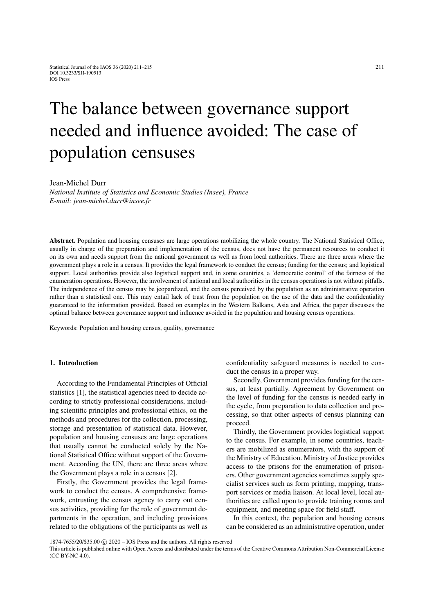# The balance between governance support needed and influence avoided: The case of population censuses

Jean-Michel Durr

*National Institute of Statistics and Economic Studies (Insee), France E-mail: jean-michel.durr@insee.fr*

Abstract. Population and housing censuses are large operations mobilizing the whole country. The National Statistical Office, usually in charge of the preparation and implementation of the census, does not have the permanent resources to conduct it on its own and needs support from the national government as well as from local authorities. There are three areas where the government plays a role in a census. It provides the legal framework to conduct the census; funding for the census; and logistical support. Local authorities provide also logistical support and, in some countries, a 'democratic control' of the fairness of the enumeration operations. However, the involvement of national and local authorities in the census operations is not without pitfalls. The independence of the census may be jeopardized, and the census perceived by the population as an administrative operation rather than a statistical one. This may entail lack of trust from the population on the use of the data and the confidentiality guaranteed to the information provided. Based on examples in the Western Balkans, Asia and Africa, the paper discusses the optimal balance between governance support and influence avoided in the population and housing census operations.

Keywords: Population and housing census, quality, governance

# 1. Introduction

According to the Fundamental Principles of Official statistics [\[1\]](#page-4-0), the statistical agencies need to decide according to strictly professional considerations, including scientific principles and professional ethics, on the methods and procedures for the collection, processing, storage and presentation of statistical data. However, population and housing censuses are large operations that usually cannot be conducted solely by the National Statistical Office without support of the Government. According the UN, there are three areas where the Government plays a role in a census [\[2\]](#page-4-1).

Firstly, the Government provides the legal framework to conduct the census. A comprehensive framework, entrusting the census agency to carry out census activities, providing for the role of government departments in the operation, and including provisions related to the obligations of the participants as well as confidentiality safeguard measures is needed to conduct the census in a proper way.

Secondly, Government provides funding for the census, at least partially. Agreement by Government on the level of funding for the census is needed early in the cycle, from preparation to data collection and processing, so that other aspects of census planning can proceed.

Thirdly, the Government provides logistical support to the census. For example, in some countries, teachers are mobilized as enumerators, with the support of the Ministry of Education. Ministry of Justice provides access to the prisons for the enumeration of prisoners. Other government agencies sometimes supply specialist services such as form printing, mapping, transport services or media liaison. At local level, local authorities are called upon to provide training rooms and equipment, and meeting space for field staff.

In this context, the population and housing census can be considered as an administrative operation, under

This article is published online with Open Access and distributed under the terms of the Creative Commons Attribution Non-Commercial License (CC BY-NC 4.0).

<sup>1874-7655/20/\$35.00 © 2020 -</sup> IOS Press and the authors. All rights reserved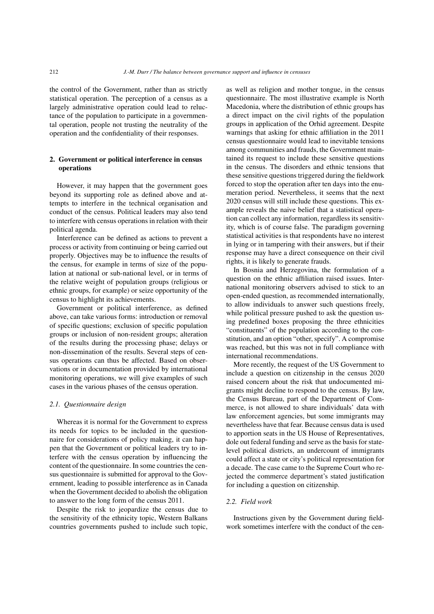the control of the Government, rather than as strictly statistical operation. The perception of a census as a largely administrative operation could lead to reluctance of the population to participate in a governmental operation, people not trusting the neutrality of the operation and the confidentiality of their responses.

# 2. Government or political interference in census operations

However, it may happen that the government goes beyond its supporting role as defined above and attempts to interfere in the technical organisation and conduct of the census. Political leaders may also tend to interfere with census operations in relation with their political agenda.

Interference can be defined as actions to prevent a process or activity from continuing or being carried out properly. Objectives may be to influence the results of the census, for example in terms of size of the population at national or sub-national level, or in terms of the relative weight of population groups (religious or ethnic groups, for example) or seize opportunity of the census to highlight its achievements.

Government or political interference, as defined above, can take various forms: introduction or removal of specific questions; exclusion of specific population groups or inclusion of non-resident groups; alteration of the results during the processing phase; delays or non-dissemination of the results. Several steps of census operations can thus be affected. Based on observations or in documentation provided by international monitoring operations, we will give examples of such cases in the various phases of the census operation.

#### *2.1. Questionnaire design*

Whereas it is normal for the Government to express its needs for topics to be included in the questionnaire for considerations of policy making, it can happen that the Government or political leaders try to interfere with the census operation by influencing the content of the questionnaire. In some countries the census questionnaire is submitted for approval to the Government, leading to possible interference as in Canada when the Government decided to abolish the obligation to answer to the long form of the census 2011.

Despite the risk to jeopardize the census due to the sensitivity of the ethnicity topic, Western Balkans countries governments pushed to include such topic, as well as religion and mother tongue, in the census questionnaire. The most illustrative example is North Macedonia, where the distribution of ethnic groups has a direct impact on the civil rights of the population groups in application of the Orhid agreement. Despite warnings that asking for ethnic affiliation in the 2011 census questionnaire would lead to inevitable tensions among communities and frauds, the Government maintained its request to include these sensitive questions in the census. The disorders and ethnic tensions that these sensitive questions triggered during the fieldwork forced to stop the operation after ten days into the enumeration period. Nevertheless, it seems that the next 2020 census will still include these questions. This example reveals the naive belief that a statistical operation can collect any information, regardless its sensitivity, which is of course false. The paradigm governing statistical activities is that respondents have no interest in lying or in tampering with their answers, but if their response may have a direct consequence on their civil rights, it is likely to generate frauds.

In Bosnia and Herzegovina, the formulation of a question on the ethnic affiliation raised issues. International monitoring observers advised to stick to an open-ended question, as recommended internationally, to allow individuals to answer such questions freely, while political pressure pushed to ask the question using predefined boxes proposing the three ethnicities "constituents" of the population according to the constitution, and an option "other, specify". A compromise was reached, but this was not in full compliance with international recommendations.

More recently, the request of the US Government to include a question on citizenship in the census 2020 raised concern about the risk that undocumented migrants might decline to respond to the census. By law, the Census Bureau, part of the Department of Commerce, is not allowed to share individuals' data with law enforcement agencies, but some immigrants may nevertheless have that fear. Because census data is used to apportion seats in the US House of Representatives, dole out federal funding and serve as the basis for statelevel political districts, an undercount of immigrants could affect a state or city's political representation for a decade. The case came to the Supreme Court who rejected the commerce department's stated justification for including a question on citizenship.

#### *2.2. Field work*

Instructions given by the Government during fieldwork sometimes interfere with the conduct of the cen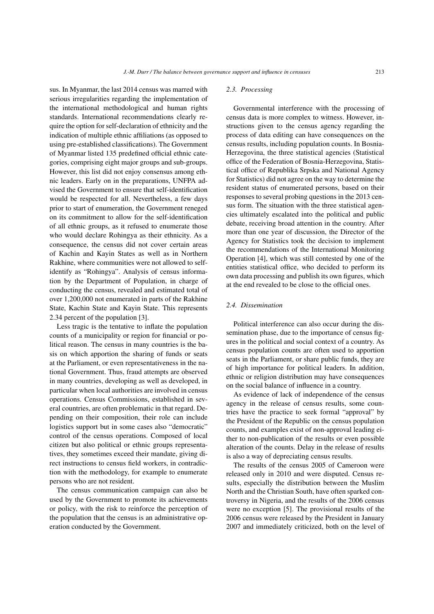sus. In Myanmar, the last 2014 census was marred with serious irregularities regarding the implementation of the international methodological and human rights standards. International recommendations clearly require the option for self-declaration of ethnicity and the indication of multiple ethnic affiliations (as opposed to using pre-established classifications). The Government of Myanmar listed 135 predefined official ethnic categories, comprising eight major groups and sub-groups. However, this list did not enjoy consensus among ethnic leaders. Early on in the preparations, UNFPA advised the Government to ensure that self-identification would be respected for all. Nevertheless, a few days prior to start of enumeration, the Government reneged on its commitment to allow for the self-identification of all ethnic groups, as it refused to enumerate those who would declare Rohingya as their ethnicity. As a consequence, the census did not cover certain areas of Kachin and Kayin States as well as in Northern Rakhine, where communities were not allowed to selfidentify as "Rohingya". Analysis of census information by the Department of Population, in charge of conducting the census, revealed and estimated total of over 1,200,000 not enumerated in parts of the Rakhine State, Kachin State and Kayin State. This represents 2.34 percent of the population [\[3\]](#page-4-2).

Less tragic is the tentative to inflate the population counts of a municipality or region for financial or political reason. The census in many countries is the basis on which apportion the sharing of funds or seats at the Parliament, or even representativeness in the national Government. Thus, fraud attempts are observed in many countries, developing as well as developed, in particular when local authorities are involved in census operations. Census Commissions, established in several countries, are often problematic in that regard. Depending on their composition, their role can include logistics support but in some cases also "democratic" control of the census operations. Composed of local citizen but also political or ethnic groups representatives, they sometimes exceed their mandate, giving direct instructions to census field workers, in contradiction with the methodology, for example to enumerate persons who are not resident.

The census communication campaign can also be used by the Government to promote its achievements or policy, with the risk to reinforce the perception of the population that the census is an administrative operation conducted by the Government.

#### *2.3. Processing*

Governmental interference with the processing of census data is more complex to witness. However, instructions given to the census agency regarding the process of data editing can have consequences on the census results, including population counts. In Bosnia-Herzegovina, the three statistical agencies (Statistical office of the Federation of Bosnia-Herzegovina, Statistical office of Republika Srpska and National Agency for Statistics) did not agree on the way to determine the resident status of enumerated persons, based on their responses to several probing questions in the 2013 census form. The situation with the three statistical agencies ultimately escalated into the political and public debate, receiving broad attention in the country. After more than one year of discussion, the Director of the Agency for Statistics took the decision to implement the recommendations of the International Monitoring Operation [\[4\]](#page-4-3), which was still contested by one of the entities statistical office, who decided to perform its own data processing and publish its own figures, which at the end revealed to be close to the official ones.

# *2.4. Dissemination*

Political interference can also occur during the dissemination phase, due to the importance of census figures in the political and social context of a country. As census population counts are often used to apportion seats in the Parliament, or share public funds, they are of high importance for political leaders. In addition, ethnic or religion distribution may have consequences on the social balance of influence in a country.

As evidence of lack of independence of the census agency in the release of census results, some countries have the practice to seek formal "approval" by the President of the Republic on the census population counts, and examples exist of non-approval leading either to non-publication of the results or even possible alteration of the counts. Delay in the release of results is also a way of depreciating census results.

The results of the census 2005 of Cameroon were released only in 2010 and were disputed. Census results, especially the distribution between the Muslim North and the Christian South, have often sparked controversy in Nigeria, and the results of the 2006 census were no exception [\[5\]](#page-4-4). The provisional results of the 2006 census were released by the President in January 2007 and immediately criticized, both on the level of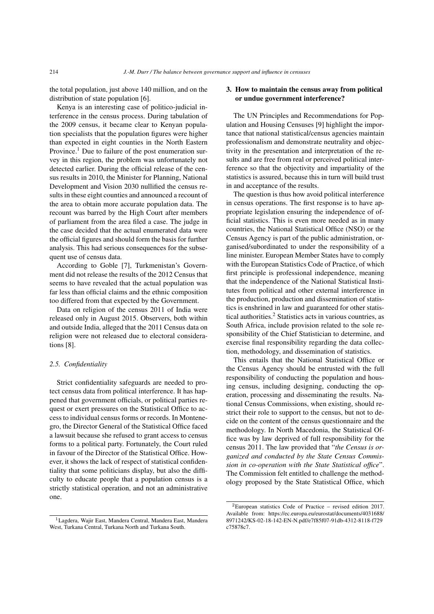the total population, just above 140 million, and on the distribution of state population [\[6\]](#page-4-5).

Kenya is an interesting case of politico-judicial interference in the census process. During tabulation of the 2009 census, it became clear to Kenyan population specialists that the population figures were higher than expected in eight counties in the North Eastern Province.<sup>[1](#page-3-0)</sup> Due to failure of the post enumeration survey in this region, the problem was unfortunately not detected earlier. During the official release of the census results in 2010, the Minister for Planning, National Development and Vision 2030 nullified the census results in these eight counties and announced a recount of the area to obtain more accurate population data. The recount was barred by the High Court after members of parliament from the area filed a case. The judge in the case decided that the actual enumerated data were the official figures and should form the basis for further analysis. This had serious consequences for the subsequent use of census data.

According to Goble [\[7\]](#page-4-6), Turkmenistan's Government did not release the results of the 2012 Census that seems to have revealed that the actual population was far less than official claims and the ethnic composition too differed from that expected by the Government.

Data on religion of the census 2011 of India were released only in August 2015. Observers, both within and outside India, alleged that the 2011 Census data on religion were not released due to electoral considerations [\[8\]](#page-4-7).

#### *2.5. Confidentiality*

Strict confidentiality safeguards are needed to protect census data from political interference. It has happened that government officials, or political parties request or exert pressures on the Statistical Office to access to individual census forms or records. In Montenegro, the Director General of the Statistical Office faced a lawsuit because she refused to grant access to census forms to a political party. Fortunately, the Court ruled in favour of the Director of the Statistical Office. However, it shows the lack of respect of statistical confidentiality that some politicians display, but also the difficulty to educate people that a population census is a strictly statistical operation, and not an administrative one.

## 3. How to maintain the census away from political or undue government interference?

The UN Principles and Recommendations for Population and Housing Censuses [\[9\]](#page-4-8) highlight the importance that national statistical/census agencies maintain professionalism and demonstrate neutrality and objectivity in the presentation and interpretation of the results and are free from real or perceived political interference so that the objectivity and impartiality of the statistics is assured, because this in turn will build trust in and acceptance of the results.

The question is thus how avoid political interference in census operations. The first response is to have appropriate legislation ensuring the independence of official statistics. This is even more needed as in many countries, the National Statistical Office (NSO) or the Census Agency is part of the public administration, organised/subordinated to under the responsibility of a line minister. European Member States have to comply with the European Statistics Code of Practice, of which first principle is professional independence, meaning that the independence of the National Statistical Institutes from political and other external interference in the production, production and dissemination of statistics is enshrined in law and guaranteed for other statistical authorities.[2](#page-3-1) Statistics acts in various countries, as South Africa, include provision related to the sole responsibility of the Chief Statistician to determine, and exercise final responsibility regarding the data collection, methodology, and dissemination of statistics.

This entails that the National Statistical Office or the Census Agency should be entrusted with the full responsibility of conducting the population and housing census, including designing, conducting the operation, processing and disseminating the results. National Census Commissions, when existing, should restrict their role to support to the census, but not to decide on the content of the census questionnaire and the methodology. In North Macedonia, the Statistical Office was by law deprived of full responsibility for the census 2011. The law provided that "*the Census is organized and conducted by the State Census Commission in co-operation with the State Statistical office*". The Commission felt entitled to challenge the methodology proposed by the State Statistical Office, which

<span id="page-3-0"></span><sup>1</sup>Lagdera, Wajir East, Mandera Central, Mandera East, Mandera West, Turkana Central, Turkana North and Turkana South.

<span id="page-3-1"></span><sup>2</sup>European statistics Code of Practice – revised edition 2017. Available from: https://ec.europa.eu/eurostat/documents/4031688/ 8971242/KS-02-18-142-EN-N.pdf/e7f85f07-91db-4312-8118-f729 c75878c7.